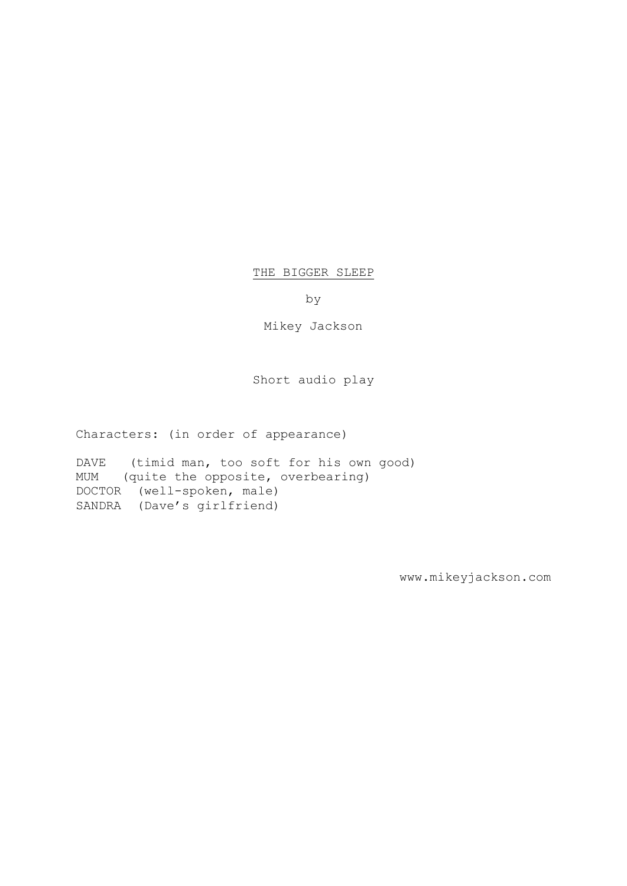#### THE BIGGER SLEEP

by

Mikey Jackson

Short audio play

Characters: (in order of appearance)

DAVE (timid man, too soft for his own good) MUM (quite the opposite, overbearing) DOCTOR (well-spoken, male) SANDRA (Dave's girlfriend)

www.mikeyjackson.com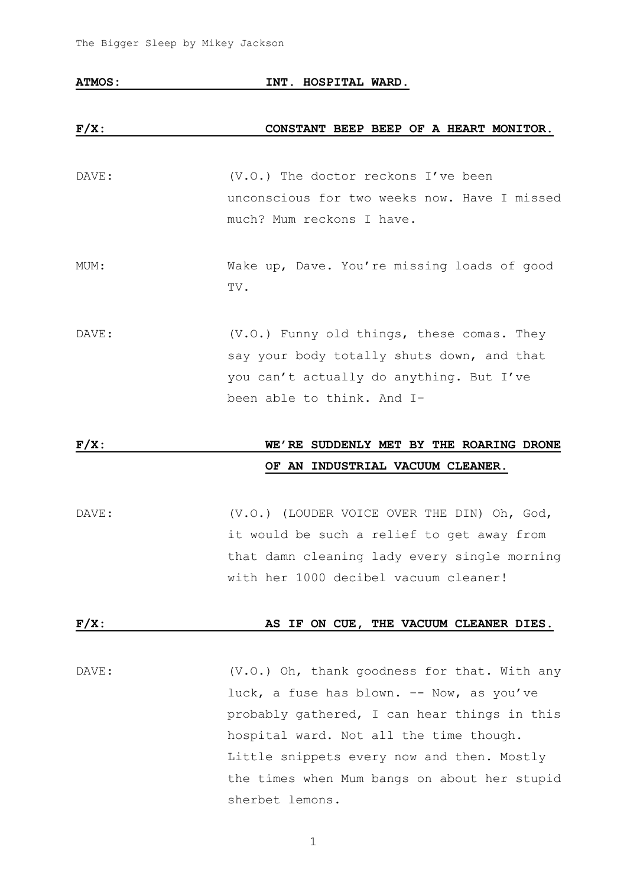#### **ATMOS: INT. HOSPITAL WARD.**

#### **F/X: CONSTANT BEEP BEEP OF A HEART MONITOR.**

- DAVE:  $(V.O.)$  The doctor reckons I've been unconscious for two weeks now. Have I missed much? Mum reckons I have.
- MUM: Wake up, Dave. You're missing loads of good TV.
- DAVE:  $(V.O.)$  Funny old things, these comas. They say your body totally shuts down, and that you can't actually do anything. But I've been able to think. And I–

## **F/X: WE'RE SUDDENLY MET BY THE ROARING DRONE OF AN INDUSTRIAL VACUUM CLEANER.**

DAVE:  $(V.O.)$  (LOUDER VOICE OVER THE DIN) Oh, God, it would be such a relief to get away from that damn cleaning lady every single morning with her 1000 decibel vacuum cleaner!

#### **F/X: AS IF ON CUE, THE VACUUM CLEANER DIES.**

DAVE: (V.O.) Oh, thank goodness for that. With any luck, a fuse has blown. –- Now, as you've probably gathered, I can hear things in this hospital ward. Not all the time though. Little snippets every now and then. Mostly the times when Mum bangs on about her stupid sherbet lemons.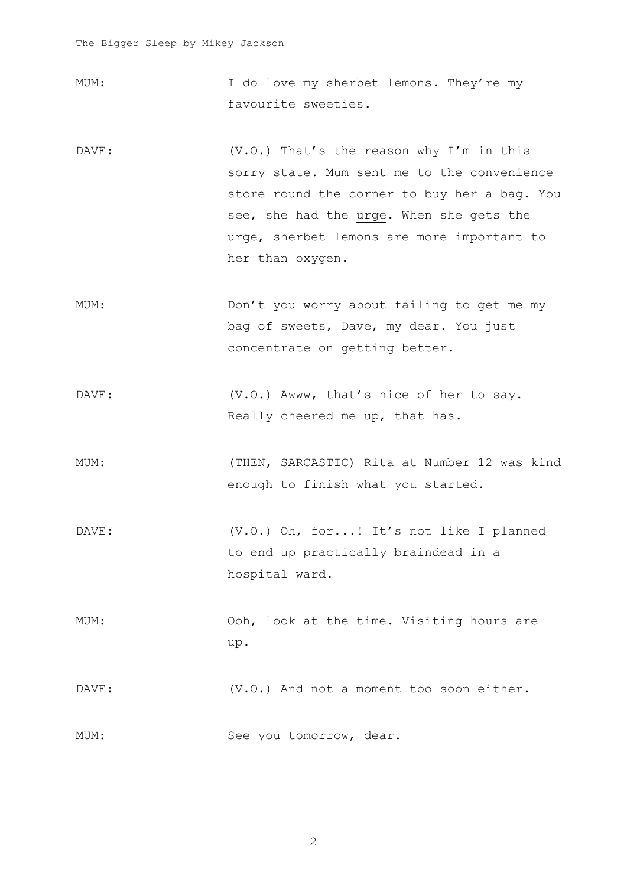- MUM: I do love my sherbet lemons. They're my favourite sweeties.
- DAVE: (V.O.) That's the reason why I'm in this sorry state. Mum sent me to the convenience store round the corner to buy her a bag. You see, she had the urge. When she gets the urge, sherbet lemons are more important to her than oxygen.
- MUM: Don't you worry about failing to get me my bag of sweets, Dave, my dear. You just concentrate on getting better.
- DAVE: (V.O.) Awww, that's nice of her to say. Really cheered me up, that has.
- MUM: (THEN, SARCASTIC) Rita at Number 12 was kind enough to finish what you started.
- DAVE: (V.O.) Oh, for...! It's not like I planned to end up practically braindead in a hospital ward.
- MUM: Ooh, look at the time. Visiting hours are up.

DAVE:  $(V.0.)$  And not a moment too soon either.

MUM: See you tomorrow, dear.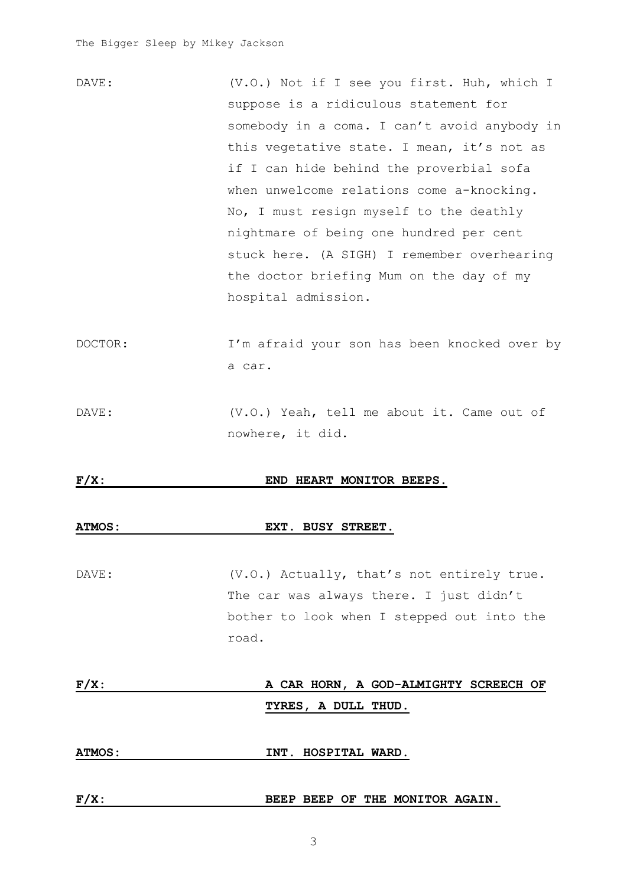| DAVE: | (V.O.) Not if I see you first. Huh, which I  |
|-------|----------------------------------------------|
|       | suppose is a ridiculous statement for        |
|       | somebody in a coma. I can't avoid anybody in |
|       | this vegetative state. I mean, it's not as   |
|       | if I can hide behind the proverbial sofa     |
|       | when unwelcome relations come a-knocking.    |
|       | No, I must resign myself to the deathly      |
|       | nightmare of being one hundred per cent      |
|       | stuck here. (A SIGH) I remember overhearing  |
|       | the doctor briefing Mum on the day of my     |
|       | hospital admission.                          |
|       |                                              |

- DOCTOR: I'm afraid your son has been knocked over by a car.
- DAVE: (V.O.) Yeah, tell me about it. Came out of nowhere, it did.

#### **F/X: END HEART MONITOR BEEPS.**

#### **ATMOS: EXT. BUSY STREET.**

DAVE: (V.O.) Actually, that's not entirely true. The car was always there. I just didn't bother to look when I stepped out into the road.

**F/X: A CAR HORN, A GOD-ALMIGHTY SCREECH OF TYRES, A DULL THUD. ATMOS: INT. HOSPITAL WARD.**

3

F/X: BEEP BEEP OF THE MONITOR AGAIN.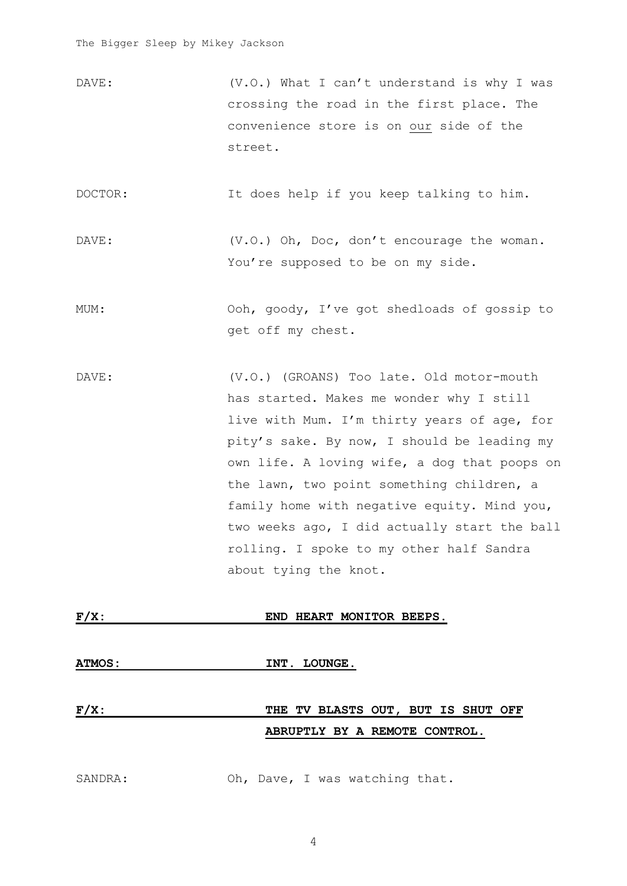DAVE: (V.O.) What I can't understand is why I was crossing the road in the first place. The convenience store is on our side of the street.

DOCTOR: It does help if you keep talking to him.

DAVE: (V.O.) Oh, Doc, don't encourage the woman. You're supposed to be on my side.

- MUM: Ooh, goody, I've got shedloads of gossip to get off my chest.
- DAVE: (V.O.) (GROANS) Too late. Old motor-mouth has started. Makes me wonder why I still live with Mum. I'm thirty years of age, for pity's sake. By now, I should be leading my own life. A loving wife, a dog that poops on the lawn, two point something children, a family home with negative equity. Mind you, two weeks ago, I did actually start the ball rolling. I spoke to my other half Sandra about tying the knot.

| $F/X$ :       | END HEART MONITOR BEEPS.                                            |
|---------------|---------------------------------------------------------------------|
| <b>ATMOS:</b> | INT. LOUNGE.                                                        |
| $F/X$ :       | THE TV BLASTS OUT, BUT IS SHUT OFF<br>ABRUPTLY BY A REMOTE CONTROL. |
| SANDRA:       | Oh, Dave, I was watching that.                                      |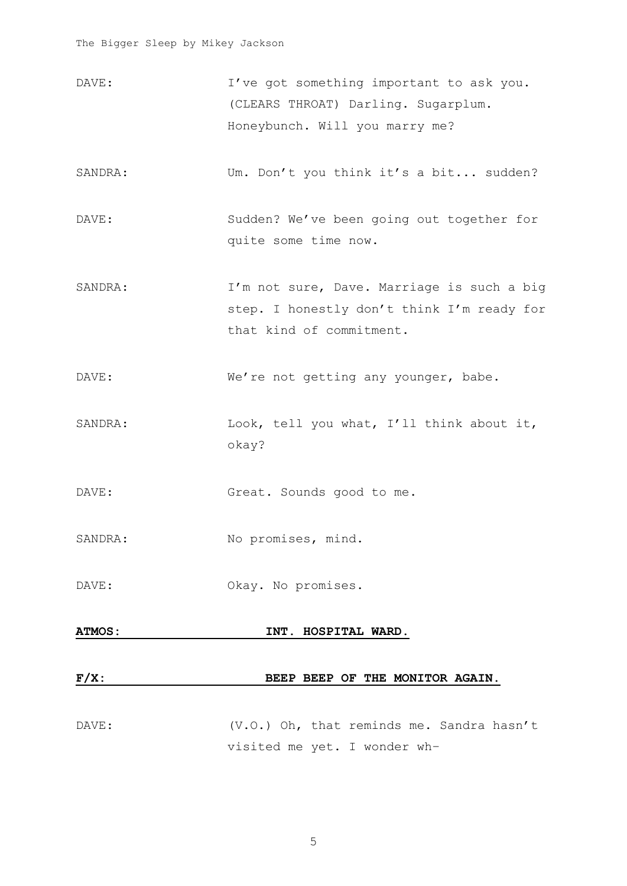- DAVE: I've got something important to ask you. (CLEARS THROAT) Darling. Sugarplum. Honeybunch. Will you marry me?
- SANDRA: Um. Don't you think it's a bit... sudden?
- DAVE: Sudden? We've been going out together for quite some time now.
- SANDRA: I'm not sure, Dave. Marriage is such a big step. I honestly don't think I'm ready for that kind of commitment.
- DAVE: We're not getting any younger, babe.
- SANDRA: Look, tell you what, I'll think about it, okay?

DAVE: Great. Sounds good to me.

- SANDRA: No promises, mind.
- DAVE: Okay. No promises.

# **ATMOS: INT. HOSPITAL WARD. F/X: BEEP BEEP OF THE MONITOR AGAIN.**

DAVE: (V.O.) Oh, that reminds me. Sandra hasn't visited me yet. I wonder wh–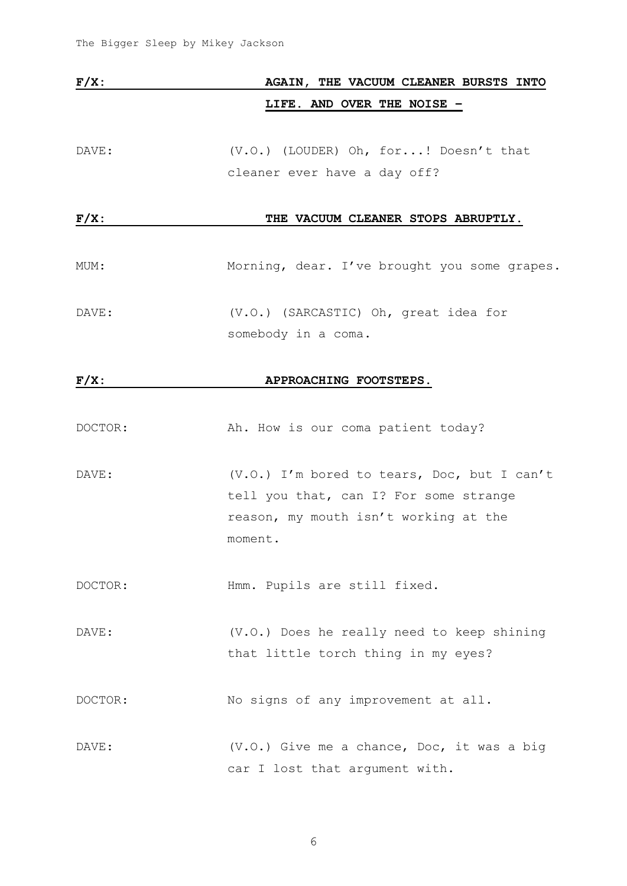| $F/X$ : | AGAIN, THE VACUUM CLEANER BURSTS INTO                                                                                                     |
|---------|-------------------------------------------------------------------------------------------------------------------------------------------|
|         | LIFE. AND OVER THE NOISE -                                                                                                                |
| DAVE:   | (V.O.) (LOUDER) Oh, for! Doesn't that<br>cleaner ever have a day off?                                                                     |
| $F/X$ : | THE VACUUM CLEANER STOPS ABRUPTLY.                                                                                                        |
| MUM:    | Morning, dear. I've brought you some grapes.                                                                                              |
| DAVE:   | (V.O.) (SARCASTIC) Oh, great idea for<br>somebody in a coma.                                                                              |
| $F/X$ : | APPROACHING FOOTSTEPS.                                                                                                                    |
| DOCTOR: | Ah. How is our coma patient today?                                                                                                        |
| DAVE:   | (V.O.) I'm bored to tears, Doc, but I can't<br>tell you that, can I? For some strange<br>reason, my mouth isn't working at the<br>moment. |
| DOCTOR: | Hmm. Pupils are still fixed.                                                                                                              |
| DAVE:   | (V.O.) Does he really need to keep shining<br>that little torch thing in my eyes?                                                         |
| DOCTOR: | No signs of any improvement at all.                                                                                                       |
| DAVE:   | (V.O.) Give me a chance, Doc, it was a big<br>car I lost that argument with.                                                              |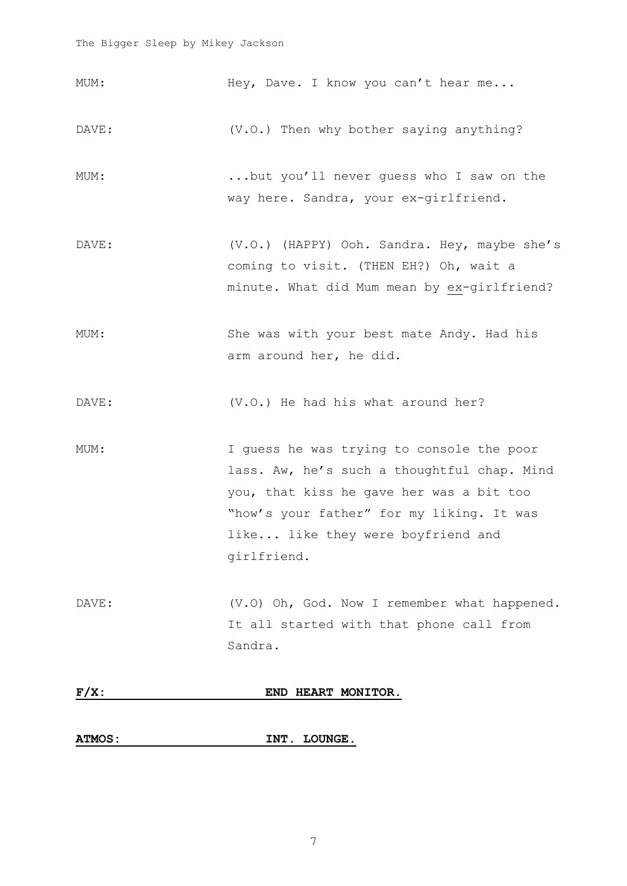MUM: Hey, Dave. I know you can't hear me... DAVE:  $(V.O.)$  Then why bother saying anything? MUM: ...but you'll never guess who I saw on the way here. Sandra, your ex-girlfriend. DAVE: (V.O.) (HAPPY) Ooh. Sandra. Hey, maybe she's coming to visit. (THEN EH?) Oh, wait a minute. What did Mum mean by ex-girlfriend? MUM: She was with your best mate Andy. Had his arm around her, he did. DAVE:  $(V.0.)$  He had his what around her? MUM: I guess he was trying to console the poor lass. Aw, he's such a thoughtful chap. Mind you, that kiss he gave her was a bit too "how's your father" for my liking. It was like... like they were boyfriend and girlfriend. DAVE: (V.O) Oh, God. Now I remember what happened. It all started with that phone call from Sandra. **F/X: END HEART MONITOR.**

#### **ATMOS: INT. LOUNGE.**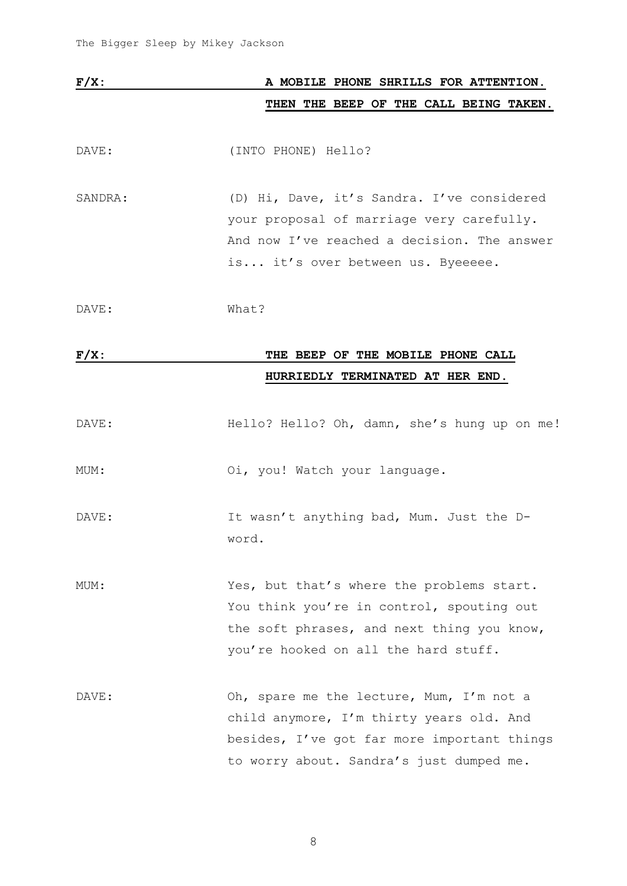| $F/X$ : |  |  |  | A MOBILE PHONE SHRILLS FOR ATTENTION. |                                        |
|---------|--|--|--|---------------------------------------|----------------------------------------|
|         |  |  |  |                                       | THEN THE BEEP OF THE CALL BEING TAKEN. |

DAVE: (INTO PHONE) Hello?

SANDRA: (D) Hi, Dave, it's Sandra. I've considered your proposal of marriage very carefully. And now I've reached a decision. The answer is... it's over between us. Byeeeee.

DAVE: What?

### **F/X: THE BEEP OF THE MOBILE PHONE CALL HURRIEDLY TERMINATED AT HER END.**

| DAVE: | Hello? Hello? Oh, damn, she's hung up on me! |  |  |  |  |  |  |  |  |
|-------|----------------------------------------------|--|--|--|--|--|--|--|--|
|-------|----------------------------------------------|--|--|--|--|--|--|--|--|

MUM: Oi, you! Watch your language.

DAVE: It wasn't anything bad, Mum. Just the Dword.

MUM: Yes, but that's where the problems start. You think you're in control, spouting out the soft phrases, and next thing you know, you're hooked on all the hard stuff.

DAVE: Oh, spare me the lecture, Mum, I'm not a child anymore, I'm thirty years old. And besides, I've got far more important things to worry about. Sandra's just dumped me.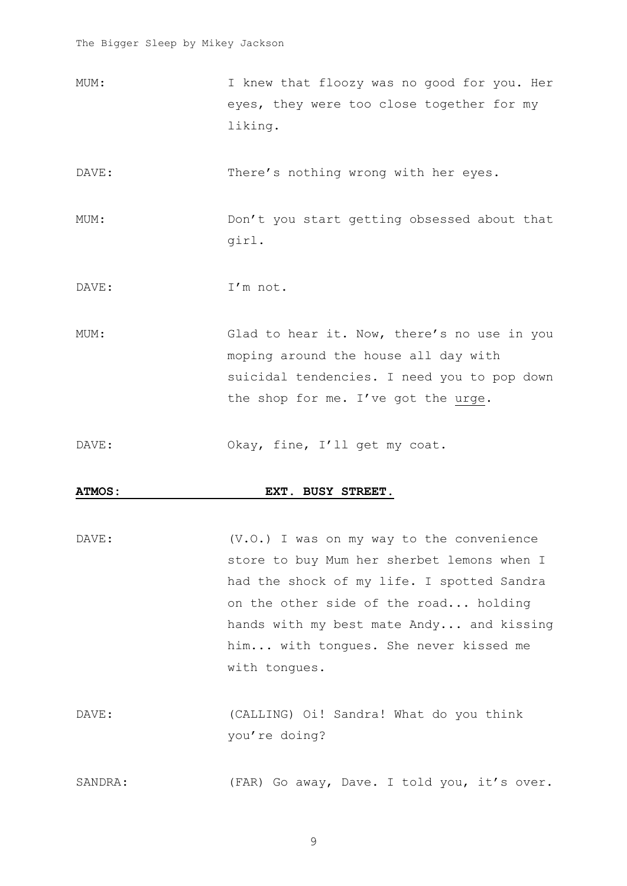MUM: I knew that floozy was no good for you. Her eyes, they were too close together for my liking.

DAVE: There's nothing wrong with her eyes.

- MUM: Don't you start getting obsessed about that girl.
- DAVE: I'm not.

MUM: Glad to hear it. Now, there's no use in you moping around the house all day with suicidal tendencies. I need you to pop down the shop for me. I've got the urge.

DAVE: Okay, fine, I'll get my coat.

#### **ATMOS: EXT. BUSY STREET.**

DAVE:  $(V.0.)$  I was on my way to the convenience store to buy Mum her sherbet lemons when I had the shock of my life. I spotted Sandra on the other side of the road... holding hands with my best mate Andy... and kissing him... with tongues. She never kissed me with tongues.

DAVE: (CALLING) Oi! Sandra! What do you think you're doing?

SANDRA: (FAR) Go away, Dave. I told you, it's over.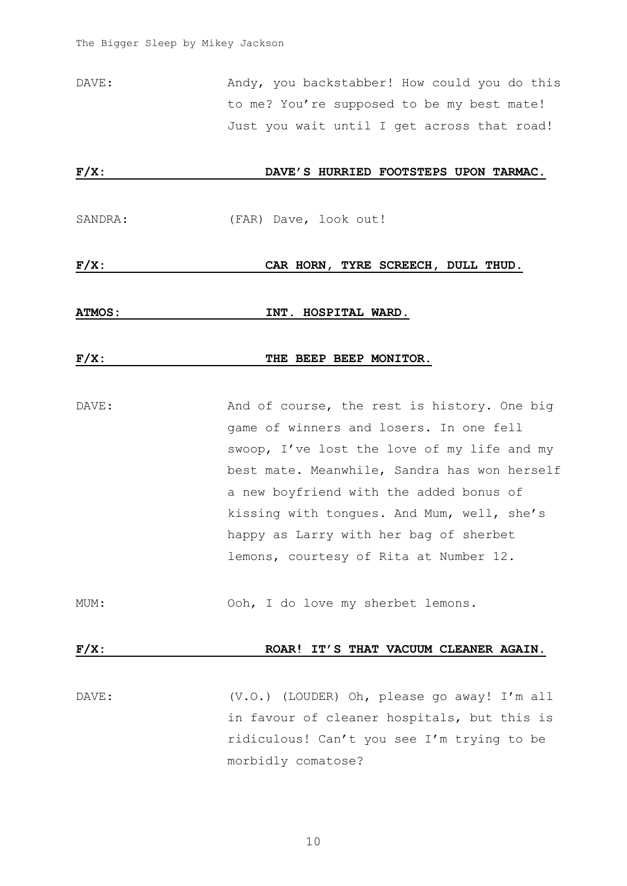DAVE: Mandy, you backstabber! How could you do this to me? You're supposed to be my best mate! Just you wait until I get across that road!

# **F/X: DAVE'S HURRIED FOOTSTEPS UPON TARMAC.**

SANDRA: (FAR) Dave, look out!

#### **F/X: CAR HORN, TYRE SCREECH, DULL THUD.**

**ATMOS: INT. HOSPITAL WARD.**

#### **F/X: THE BEEP BEEP MONITOR.**

DAVE: Mand of course, the rest is history. One big game of winners and losers. In one fell swoop, I've lost the love of my life and my best mate. Meanwhile, Sandra has won herself a new boyfriend with the added bonus of kissing with tongues. And Mum, well, she's happy as Larry with her bag of sherbet lemons, courtesy of Rita at Number 12.

MUM: Ooh, I do love my sherbet lemons.

#### F/X: ROAR! IT'S THAT VACUUM CLEANER AGAIN.

DAVE: (V.O.) (LOUDER) Oh, please go away! I'm all in favour of cleaner hospitals, but this is ridiculous! Can't you see I'm trying to be morbidly comatose?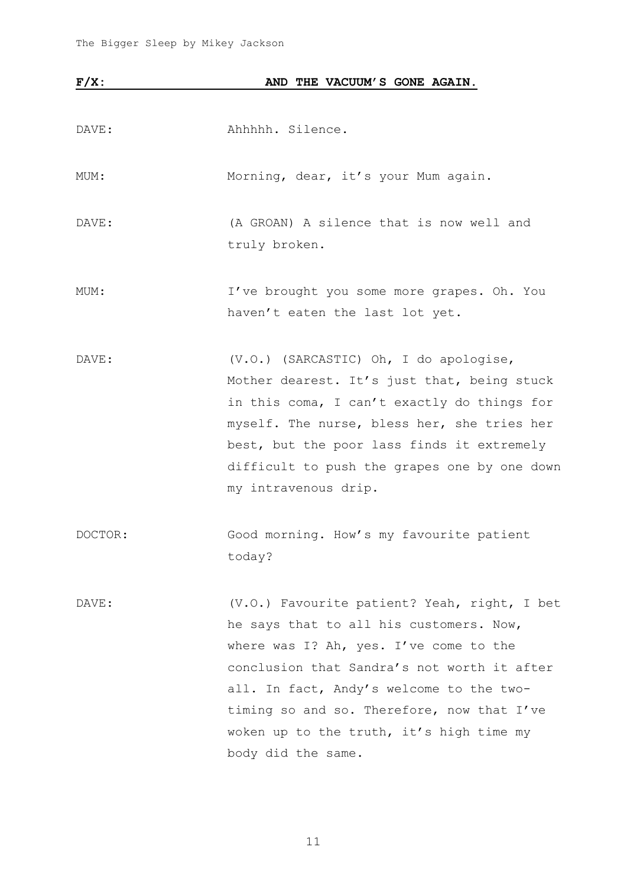| $F/X$ : | AND THE VACUUM'S GONE AGAIN.                 |
|---------|----------------------------------------------|
|         |                                              |
| DAVE:   | Ahhhhh. Silence.                             |
| MUM:    | Morning, dear, it's your Mum again.          |
| DAVE:   | (A GROAN) A silence that is now well and     |
|         | truly broken.                                |
| MUM:    | I've brought you some more grapes. Oh. You   |
|         | haven't eaten the last lot yet.              |
| DAVE:   | (V.O.) (SARCASTIC) Oh, I do apologise,       |
|         | Mother dearest. It's just that, being stuck  |
|         | in this coma, I can't exactly do things for  |
|         | myself. The nurse, bless her, she tries her  |
|         | best, but the poor lass finds it extremely   |
|         | difficult to push the grapes one by one down |
|         | my intravenous drip.                         |
| DOCTOR: | Good morning. How's my favourite patient     |
|         | today?                                       |
| DAVE:   | (V.O.) Favourite patient? Yeah, right, I bet |
|         | he says that to all his customers. Now,      |
|         | where was I? Ah, yes. I've come to the       |
|         | conclusion that Sandra's not worth it after  |
|         | all. In fact, Andy's welcome to the two-     |
|         | timing so and so. Therefore, now that I've   |
|         | woken up to the truth, it's high time my     |
|         | body did the same.                           |